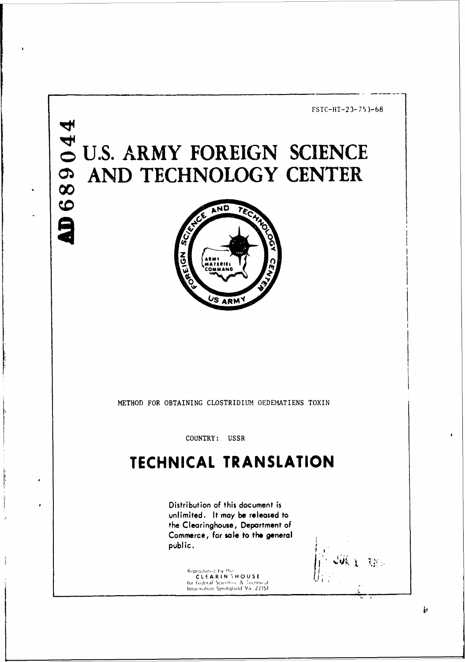

b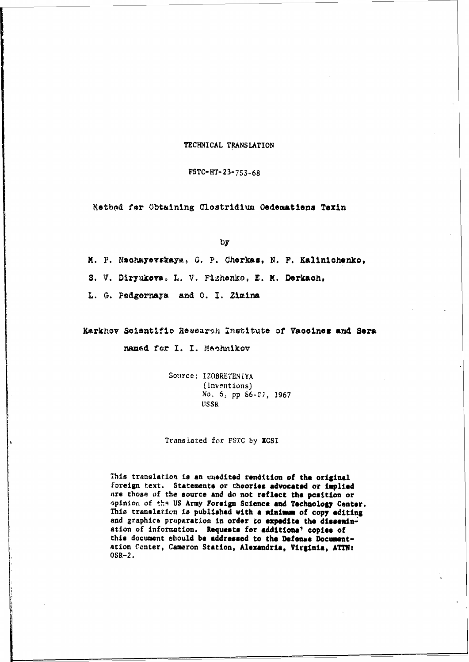## TECHNICAL TRANSLATION

FSTC-HT-23-753-68

Method **for** Obtaining Clostridlum Oedematiens Toxin

**by**

M. P. Neohayevakaya, G. P. Cherkas, N. F. Kalinichenko,

S. V. Diryukova, L. V. Fizhenko, E. M. Derkach,

L. **0.** Podgornaya and **0. 1.** Zimina

Karkhov Solentifto esearsh Institute of Vaooines **and** Sera

named for I. I. Mechnikov

Source: IZOBRETENIYA (Inventions) No. **6,** pp **86-7,** 1967 USSR

Translated for FSTC by ICSI

This translation is an unedited **rendition of the** original foreign text. **Statements** or theories **advocated** or **implied** are those of the source and do not reflect **the** position or opinion of **thi US** Army Foreign Science **and Technology Center.** This translaticn **is** published with **a minimum of copy editing** and graphics praparation in order to expedite the dissemination of information. Requests for **additional copies** of this document should **be addressed to the Defenoe** Documentation Center, Cameron Station, Alexandria, Virginia, ATTN: OSR-2.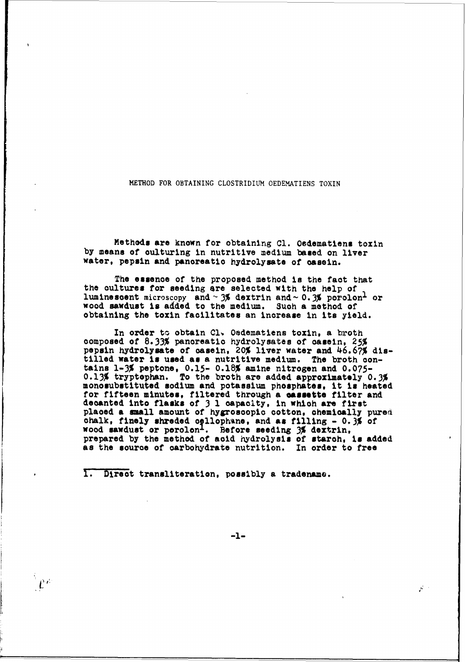## METHOD FOR OBTAINING CLOSTRIDIUM OEDEMATIENS TOXIN

Methods are known for obtaining **Cl.** Qedematiens toxin **by** means of culturing in nutritive medium based on liver water, pepsin and pancreatic hydrolysate of casein.

The **essence** of the proposed method **is** the fact that the cultures for seeding are selected with the help of luminescent microscopy and  $\sim$  3% dextrin and  $\sim$  0.3% porolon<sup>1</sup> or wood sawdust **is** added to the medium. Such a method of obtaining the toxin facilitates an increase in its yield.

In order to obtain Cl. Oadematlens toxin, a broth composed **of** 8.33% pancreatic hydrolysates of oasein, 25% pepsin hydrolysate of oaseln, 20% liver water and 46.67% **dis**tilled water is used as a nutritive medium. The broth contains 1-3% peptone, 0.15- 0.18% amine nitrogen and 0.075- 0.13% tryptophan. To the broth are added approximately **0.3%** monosubstituted sodium and potassium phosphates, it is heated for fifteen minutes, filtered through a cassette filter and decanted into flasks **of** 3 1 capaclty, in which are first placed **a** small amount of hygrosooplc cotton, chemlcally pured chalk, finely shreded ollophane, and **as** filling - 0.3% **of** wood sawdust or perolon<sup>1</sup>. Before seeding  $3/$  dextrin, prepared by the method of acid hydrolysis of starch, is added **as** the **source of** carbohydrate nutrition. **In order to** free

1. Direct transliteration, possibly a tradename.

 $\int \mathcal{L}^{n}$ 

-1-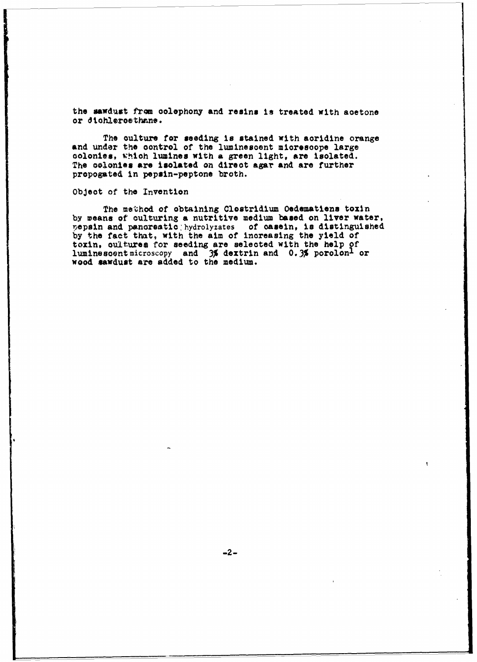the sawdust **from** oolephony and resins is treated with acetone or dichleroethane.

The oulture for **seeding** is stained with acridine orange and under the control of the luminescent mioresoope large colonies, w'hioh lumines with a green light, are isolated. The colonies are isolated on direct agar and are further propogated in pepsin-peptone broth.

## Objeot of the Invention

The method of obtaining Clostridium Oedematiene toxin **by** means **of** culturing a nutritive medium **based** on liver water, pepsin and panoreatic hydrolyzates of casein, is distinguished **by** the fact that, with the aim of increasing the **yield** of toxin, oultures for seeding are selected with the **help** f luminesoontmicroscopy and **3%** dextrin and **0.3%** poroloni or wood sawdust are added to the medium.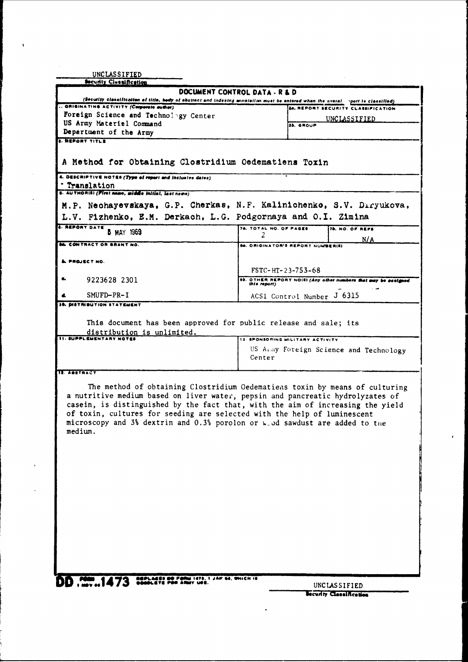|                                                                                                                                                                                                                                                                                                                                         | DOCUMENT CONTROL DATA - R & D            |                                        |                                                                             |  |  |
|-----------------------------------------------------------------------------------------------------------------------------------------------------------------------------------------------------------------------------------------------------------------------------------------------------------------------------------------|------------------------------------------|----------------------------------------|-----------------------------------------------------------------------------|--|--|
| (Security classification of title, body of abstract and indexing annotation must be entered when the overal. >port is classified)                                                                                                                                                                                                       |                                          |                                        |                                                                             |  |  |
| GRIGINATING ACTIVITY (Corporate outhor)                                                                                                                                                                                                                                                                                                 |                                          | 24. REPORT SECURITY CLASSIFICATION     |                                                                             |  |  |
| Foreign Science and Technology Center<br>US Army Materiel Command                                                                                                                                                                                                                                                                       |                                          | UNCLASSIFIED                           |                                                                             |  |  |
| Department of the Army                                                                                                                                                                                                                                                                                                                  |                                          | 26. GROUP                              |                                                                             |  |  |
| <b>1. REPORT TITLE</b>                                                                                                                                                                                                                                                                                                                  |                                          |                                        |                                                                             |  |  |
| A Method for Obtaining Clostridium Oedematiens Toxin                                                                                                                                                                                                                                                                                    |                                          |                                        |                                                                             |  |  |
| 4. DESCRIPTIVE NOTER (Type of report and inclusive dates)                                                                                                                                                                                                                                                                               |                                          |                                        |                                                                             |  |  |
| <b>Translation</b><br>s. AUTHORIS) (Piret name, middle initial, last neme)                                                                                                                                                                                                                                                              |                                          |                                        |                                                                             |  |  |
| M.P. Nechayevskaya, G.P. Cherkas, N.F. Kalinichenko, S.V. Diryukova,                                                                                                                                                                                                                                                                    |                                          |                                        |                                                                             |  |  |
| L.V. Fizhenko, E.M. Derkach, L.G. Podgornaya and O.I. Zimina                                                                                                                                                                                                                                                                            |                                          |                                        |                                                                             |  |  |
| <b>I. REPORT DATE</b>                                                                                                                                                                                                                                                                                                                   | 78. TOTAL NO. OF PAGES                   |                                        | <b>78. NO. OF REFS</b>                                                      |  |  |
| 5 MAY 1969                                                                                                                                                                                                                                                                                                                              |                                          |                                        | N/A                                                                         |  |  |
| <b>BA. CONTRACT OR SRANT NO.</b>                                                                                                                                                                                                                                                                                                        | <b>94. ORIGINATOR'S REPORT NUMBER(S)</b> |                                        |                                                                             |  |  |
| <b>A. PROJECT NO.</b>                                                                                                                                                                                                                                                                                                                   |                                          |                                        |                                                                             |  |  |
|                                                                                                                                                                                                                                                                                                                                         |                                          | FSTC-HT-23-753-68                      |                                                                             |  |  |
| 9223628 2301                                                                                                                                                                                                                                                                                                                            |                                          |                                        | 9b. OTHER REPORT NOIS) (Any other numbers that may be seeigned this report) |  |  |
| SMUFD-PR-I                                                                                                                                                                                                                                                                                                                              |                                          | ACSI Control Number J 6315             |                                                                             |  |  |
| <b>JS. DISTRIBUTION STATEMENT</b>                                                                                                                                                                                                                                                                                                       |                                          |                                        |                                                                             |  |  |
| <b>TELESTRACT</b>                                                                                                                                                                                                                                                                                                                       | Center                                   | US Alay Foreign Science and Technology |                                                                             |  |  |
| The method of obtaining Clostridium Oedematiens toxin by means of culturing                                                                                                                                                                                                                                                             |                                          |                                        |                                                                             |  |  |
| a nutritive medium based on liver water, pepsin and pancreatic hydrolyzates of<br>casein, is distinguished by the fact that, with the aim of increasing the yield<br>of toxin, cultures for seeding are selected with the help of luminescent<br>microscopy and 3% dextrin and 0.3% porolon or wood sawdust are added to the<br>medium. |                                          |                                        |                                                                             |  |  |

 $\langle \cdot \rangle$ 

 $\epsilon$ 

 $\label{eq:1} \mathcal{M}(\mathcal{O}_{\mathbb{R}^n}) = \mathcal{O}_{\mathbb{R}^n}(\mathcal{O}_{\mathbb{R}^n})$